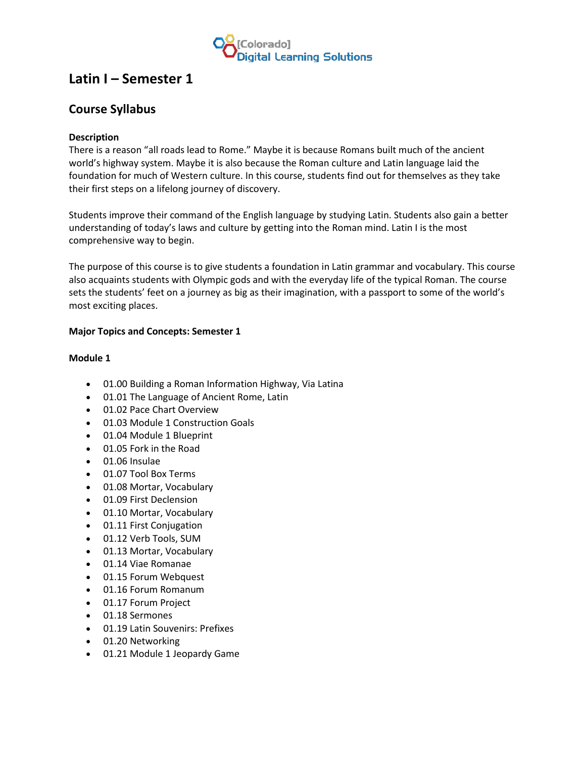

# **Latin I – Semester 1**

# **Course Syllabus**

# **Description**

There is a reason "all roads lead to Rome." Maybe it is because Romans built much of the ancient world's highway system. Maybe it is also because the Roman culture and Latin language laid the foundation for much of Western culture. In this course, students find out for themselves as they take their first steps on a lifelong journey of discovery.

Students improve their command of the English language by studying Latin. Students also gain a better understanding of today's laws and culture by getting into the Roman mind. Latin I is the most comprehensive way to begin.

The purpose of this course is to give students a foundation in Latin grammar and vocabulary. This course also acquaints students with Olympic gods and with the everyday life of the typical Roman. The course sets the students' feet on a journey as big as their imagination, with a passport to some of the world's most exciting places.

# **Major Topics and Concepts: Semester 1**

#### **Module 1**

- 01.00 Building a Roman Information Highway, Via Latina
- 01.01 The Language of Ancient Rome, Latin
- 01.02 Pace Chart Overview
- 01.03 Module 1 Construction Goals
- 01.04 Module 1 Blueprint
- 01.05 Fork in the Road
- 01.06 Insulae
- 01.07 Tool Box Terms
- 01.08 Mortar, Vocabulary
- 01.09 First Declension
- 01.10 Mortar, Vocabulary
- 01.11 First Conjugation
- 01.12 Verb Tools, SUM
- 01.13 Mortar, Vocabulary
- 01.14 Viae Romanae
- 01.15 Forum Webquest
- 01.16 Forum Romanum
- 01.17 Forum Project
- 01.18 Sermones
- 01.19 Latin Souvenirs: Prefixes
- 01.20 Networking
- 01.21 Module 1 Jeopardy Game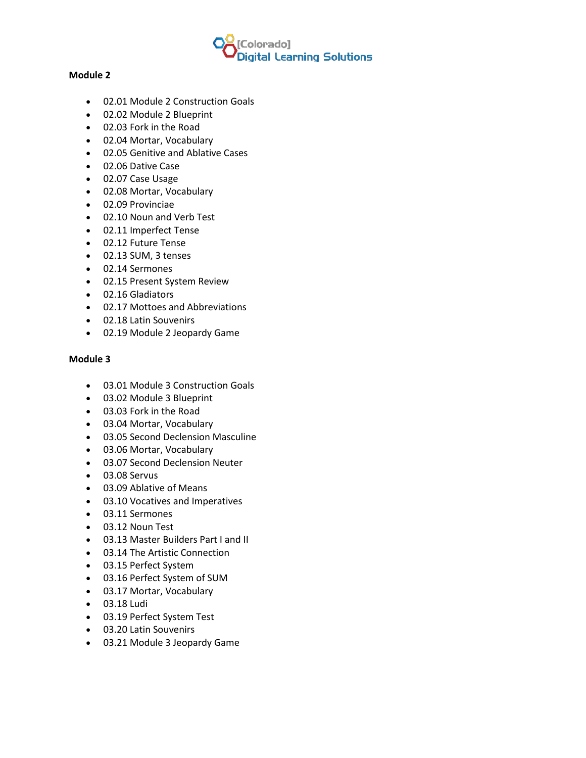

#### **Module 2**

- 02.01 Module 2 Construction Goals
- 02.02 Module 2 Blueprint
- 02.03 Fork in the Road
- 02.04 Mortar, Vocabulary
- 02.05 Genitive and Ablative Cases
- 02.06 Dative Case
- 02.07 Case Usage
- 02.08 Mortar, Vocabulary
- 02.09 Provinciae
- 02.10 Noun and Verb Test
- 02.11 Imperfect Tense
- 02.12 Future Tense
- 02.13 SUM, 3 tenses
- 02.14 Sermones
- 02.15 Present System Review
- 02.16 Gladiators
- 02.17 Mottoes and Abbreviations
- 02.18 Latin Souvenirs
- 02.19 Module 2 Jeopardy Game

#### **Module 3**

- 03.01 Module 3 Construction Goals
- 03.02 Module 3 Blueprint
- 03.03 Fork in the Road
- 03.04 Mortar, Vocabulary
- 03.05 Second Declension Masculine
- 03.06 Mortar, Vocabulary
- 03.07 Second Declension Neuter
- 03.08 Servus
- 03.09 Ablative of Means
- 03.10 Vocatives and Imperatives
- 03.11 Sermones
- 03.12 Noun Test
- 03.13 Master Builders Part I and II
- 03.14 The Artistic Connection
- 03.15 Perfect System
- 03.16 Perfect System of SUM
- 03.17 Mortar, Vocabulary
- 03.18 Ludi
- 03.19 Perfect System Test
- 03.20 Latin Souvenirs
- 03.21 Module 3 Jeopardy Game